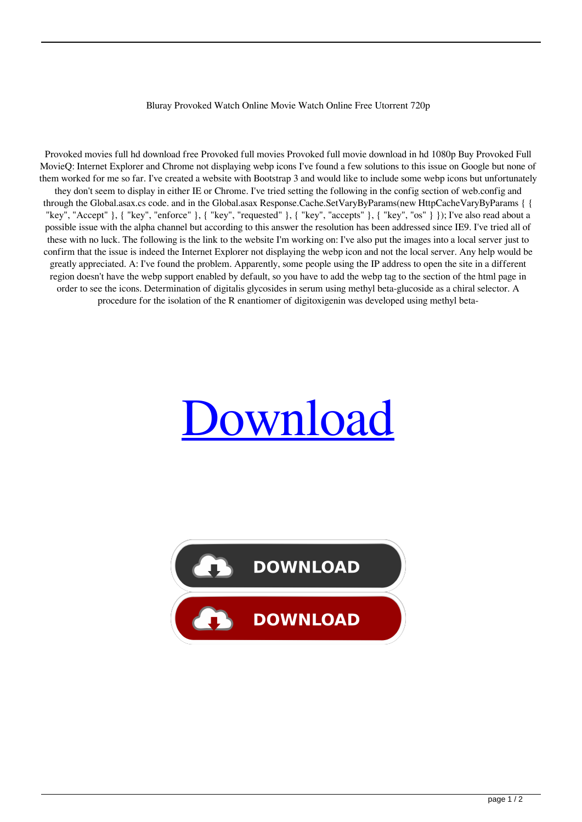## Bluray Provoked Watch Online Movie Watch Online Free Utorrent 720p

Provoked movies full hd download free Provoked full movies Provoked full movie download in hd 1080p Buy Provoked Full MovieQ: Internet Explorer and Chrome not displaying webp icons I've found a few solutions to this issue on Google but none of them worked for me so far. I've created a website with Bootstrap 3 and would like to include some webp icons but unfortunately they don't seem to display in either IE or Chrome. I've tried setting the following in the config section of web.config and through the Global.asax.cs code. and in the Global.asax Response.Cache.SetVaryByParams(new HttpCacheVaryByParams { { "key", "Accept" }, { "key", "enforce" }, { "key", "requested" }, { "key", "accepts" }, { "key", "os" } }); I've also read about a possible issue with the alpha channel but according to this answer the resolution has been addressed since IE9. I've tried all of these with no luck. The following is the link to the website I'm working on: I've also put the images into a local server just to confirm that the issue is indeed the Internet Explorer not displaying the webp icon and not the local server. Any help would be greatly appreciated. A: I've found the problem. Apparently, some people using the IP address to open the site in a different region doesn't have the webp support enabled by default, so you have to add the webp tag to the section of the html page in order to see the icons. Determination of digitalis glycosides in serum using methyl beta-glucoside as a chiral selector. A procedure for the isolation of the R enantiomer of digitoxigenin was developed using methyl beta-